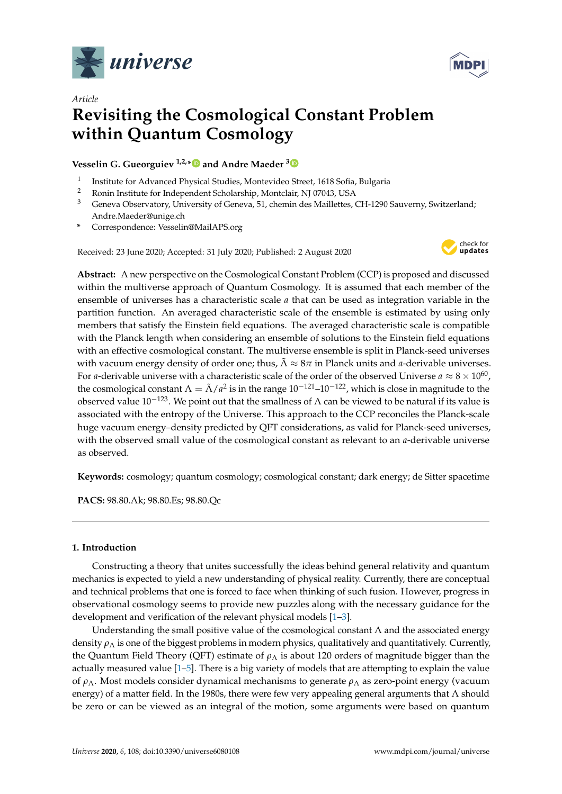



# *Article* **Revisiting the Cosmological Constant Problem within Quantum Cosmology**

## **Vesselin G. Gueorguiev 1,2,[\\*](https://orcid.org/0000-0002-2022-6432) and Andre Maeder [3](https://orcid.org/0000-0001-8744-0444)**

- 1 Institute for Advanced Physical Studies, Montevideo Street, 1618 Sofia, Bulgaria
- <sup>2</sup> Ronin Institute for Independent Scholarship, Montclair, NJ 07043, USA
- <sup>3</sup> Geneva Observatory, University of Geneva, 51, chemin des Maillettes, CH-1290 Sauverny, Switzerland; Andre.Maeder@unige.ch
- **\*** Correspondence: Vesselin@MailAPS.org

Received: 23 June 2020; Accepted: 31 July 2020; Published: 2 August 2020



**Abstract:** A new perspective on the Cosmological Constant Problem (CCP) is proposed and discussed within the multiverse approach of Quantum Cosmology. It is assumed that each member of the ensemble of universes has a characteristic scale *a* that can be used as integration variable in the partition function. An averaged characteristic scale of the ensemble is estimated by using only members that satisfy the Einstein field equations. The averaged characteristic scale is compatible with the Planck length when considering an ensemble of solutions to the Einstein field equations with an effective cosmological constant. The multiverse ensemble is split in Planck-seed universes with vacuum energy density of order one; thus,  $\tilde{\Lambda} \approx 8\pi$  in Planck units and *a*-derivable universes. For *a*-derivable universe with a characteristic scale of the order of the observed Universe  $a\approx 8\times 10^{60}$ , the cosmological constant  $\Lambda = \tilde\Lambda/a^2$  is in the range  $10^{-121}$ – $10^{-122}$ , which is close in magnitude to the observed value  $10^{-123}$ . We point out that the smallness of  $\Lambda$  can be viewed to be natural if its value is associated with the entropy of the Universe. This approach to the CCP reconciles the Planck-scale huge vacuum energy–density predicted by QFT considerations, as valid for Planck-seed universes, with the observed small value of the cosmological constant as relevant to an *a*-derivable universe as observed.

**Keywords:** cosmology; quantum cosmology; cosmological constant; dark energy; de Sitter spacetime

**PACS:** 98.80.Ak; 98.80.Es; 98.80.Qc

### **1. Introduction**

Constructing a theory that unites successfully the ideas behind general relativity and quantum mechanics is expected to yield a new understanding of physical reality. Currently, there are conceptual and technical problems that one is forced to face when thinking of such fusion. However, progress in observational cosmology seems to provide new puzzles along with the necessary guidance for the development and verification of the relevant physical models [\[1](#page-13-0)[–3\]](#page-13-1).

Understanding the small positive value of the cosmological constant  $\Lambda$  and the associated energy density  $\rho_{\Lambda}$  is one of the biggest problems in modern physics, qualitatively and quantitatively. Currently, the Quantum Field Theory (QFT) estimate of  $\rho_{\Lambda}$  is about 120 orders of magnitude bigger than the actually measured value  $[1-5]$  $[1-5]$ . There is a big variety of models that are attempting to explain the value of *ρ*Λ. Most models consider dynamical mechanisms to generate *ρ*<sup>Λ</sup> as zero-point energy (vacuum energy) of a matter field. In the 1980s, there were few very appealing general arguments that  $\Lambda$  should be zero or can be viewed as an integral of the motion, some arguments were based on quantum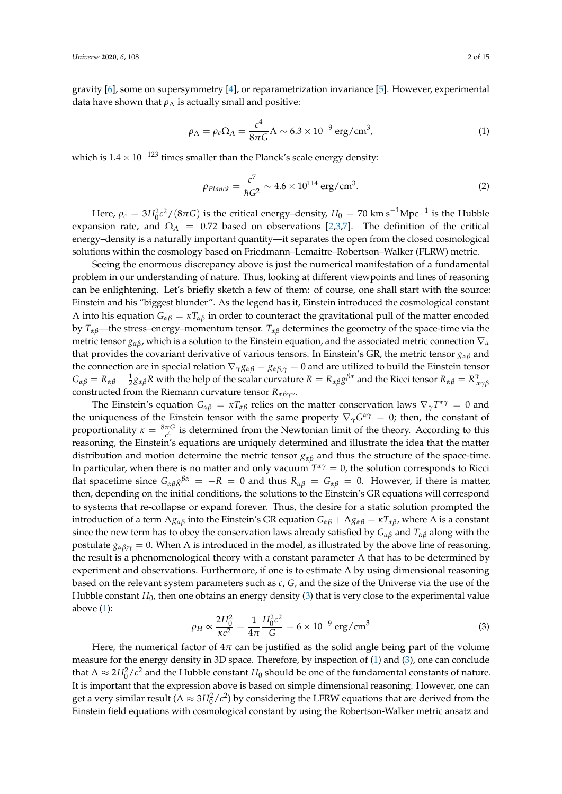gravity [\[6\]](#page-13-3), some on supersymmetry [\[4\]](#page-13-4), or reparametrization invariance [\[5\]](#page-13-2). However, experimental data have shown that  $\rho_{\Lambda}$  is actually small and positive:

<span id="page-1-1"></span>
$$
\rho_{\Lambda} = \rho_c \Omega_{\Lambda} = \frac{c^4}{8\pi G} \Lambda \sim 6.3 \times 10^{-9} \text{ erg/cm}^3,
$$
\n(1)

which is  $1.4 \times 10^{-123}$  times smaller than the Planck's scale energy density:

<span id="page-1-2"></span>
$$
\rho_{Planck} = \frac{c^7}{\hbar G^2} \sim 4.6 \times 10^{114} \text{ erg/cm}^3.
$$
 (2)

Here,  $\rho_c = 3H_0^2c^2/(8\pi G)$  is the critical energy–density,  $H_0 = 70$  km s<sup>-1</sup>Mpc<sup>-1</sup> is the Hubble expansion rate, and  $\Omega_A = 0.72$  based on observations [\[2](#page-13-5)[,3](#page-13-1)[,7\]](#page-13-6). The definition of the critical energy–density is a naturally important quantity—it separates the open from the closed cosmological solutions within the cosmology based on Friedmann–Lemaitre–Robertson–Walker (FLRW) metric.

Seeing the enormous discrepancy above is just the numerical manifestation of a fundamental problem in our understanding of nature. Thus, looking at different viewpoints and lines of reasoning can be enlightening. Let's briefly sketch a few of them: of course, one shall start with the source: Einstein and his "biggest blunder". As the legend has it, Einstein introduced the cosmological constant  $Λ$  into his equation  $G_{\alpha\beta} = \kappa T_{\alpha\beta}$  in order to counteract the gravitational pull of the matter encoded by *Tαβ*—the stress–energy–momentum tensor. *Tαβ* determines the geometry of the space-time via the metric tensor *gαβ*, which is a solution to the Einstein equation, and the associated metric connection ∇*<sup>α</sup>* that provides the covariant derivative of various tensors. In Einstein's GR, the metric tensor *gαβ* and the connection are in special relation  $\nabla_\gamma g_{\alpha\beta} = g_{\alpha\beta;\gamma} = 0$  and are utilized to build the Einstein tensor *G*<sub>αβ</sub> =  $R_{\alpha\beta} - \frac{1}{2}g_{\alpha\beta}R$  with the help of the scalar curvature  $R = R_{\alpha\beta}g^{\beta\alpha}$  and the Ricci tensor  $R_{\alpha\beta} = R_{\alpha\beta}^{\gamma}$ *αγβ* constructed from the Riemann curvature tensor *Rαβγν*.

The Einstein's equation  $G_{\alpha\beta} = \kappa T_{\alpha\beta}$  relies on the matter conservation laws  $\nabla_\gamma T^{\alpha\gamma} = 0$  and the uniqueness of the Einstein tensor with the same property  $\nabla_{\gamma} G^{\alpha\gamma} = 0$ ; then, the constant of proportionality  $\kappa = \frac{8\pi G}{c^4}$  is determined from the Newtonian limit of the theory. According to this reasoning, the Einstein's equations are uniquely determined and illustrate the idea that the matter distribution and motion determine the metric tensor *gαβ* and thus the structure of the space-time. In particular, when there is no matter and only vacuum  $T^{\alpha\gamma} = 0$ , the solution corresponds to Ricci flat spacetime since  $G_{\alpha\beta}g^{\beta\alpha} = -R = 0$  and thus  $R_{\alpha\beta} = G_{\alpha\beta} = 0$ . However, if there is matter, then, depending on the initial conditions, the solutions to the Einstein's GR equations will correspond to systems that re-collapse or expand forever. Thus, the desire for a static solution prompted the introduction of a term  $\Lambda g_{\alpha\beta}$  into the Einstein's GR equation  $G_{\alpha\beta} + \Lambda g_{\alpha\beta} = \kappa T_{\alpha\beta}$ , where Λ is a constant since the new term has to obey the conservation laws already satisfied by *Gαβ* and *Tαβ* along with the postulate  $g_{\alpha\beta\gamma} = 0$ . When  $\Lambda$  is introduced in the model, as illustrated by the above line of reasoning, the result is a phenomenological theory with a constant parameter  $\Lambda$  that has to be determined by experiment and observations. Furthermore, if one is to estimate  $\Lambda$  by using dimensional reasoning based on the relevant system parameters such as *c*, *G*, and the size of the Universe via the use of the Hubble constant *H*0, then one obtains an energy density [\(3\)](#page-1-0) that is very close to the experimental value above  $(1)$ :

<span id="page-1-0"></span>
$$
\rho_H \propto \frac{2H_0^2}{\kappa c^2} = \frac{1}{4\pi} \frac{H_0^2 c^2}{G} = 6 \times 10^{-9} \text{ erg/cm}^3
$$
 (3)

Here, the numerical factor of  $4\pi$  can be justified as the solid angle being part of the volume measure for the energy density in 3D space. Therefore, by inspection of [\(1\)](#page-1-1) and [\(3\)](#page-1-0), one can conclude that  $\Lambda \approx 2 H_0^2/c^2$  and the Hubble constant  $H_0$  should be one of the fundamental constants of nature. It is important that the expression above is based on simple dimensional reasoning. However, one can get a very similar result ( $\Lambda \approx 3H_0^2/c^2$ ) by considering the LFRW equations that are derived from the Einstein field equations with cosmological constant by using the Robertson-Walker metric ansatz and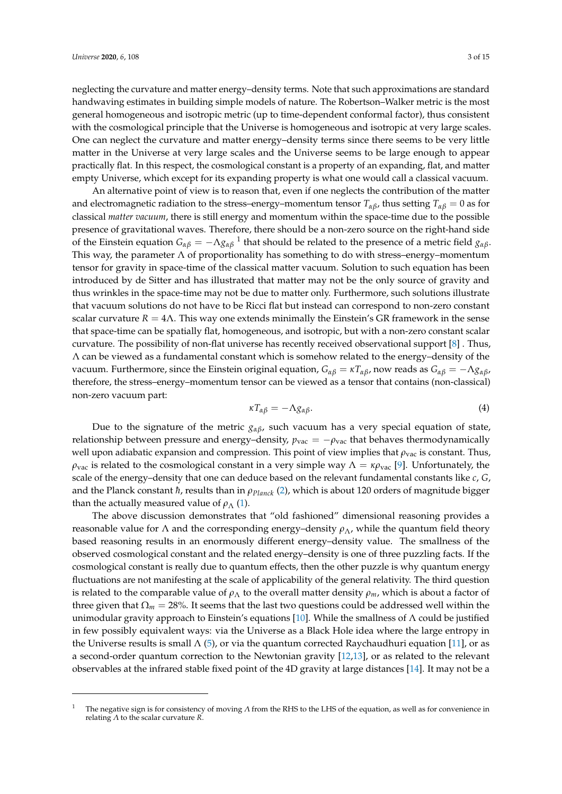neglecting the curvature and matter energy–density terms. Note that such approximations are standard handwaving estimates in building simple models of nature. The Robertson–Walker metric is the most general homogeneous and isotropic metric (up to time-dependent conformal factor), thus consistent with the cosmological principle that the Universe is homogeneous and isotropic at very large scales. One can neglect the curvature and matter energy–density terms since there seems to be very little matter in the Universe at very large scales and the Universe seems to be large enough to appear practically flat. In this respect, the cosmological constant is a property of an expanding, flat, and matter empty Universe, which except for its expanding property is what one would call a classical vacuum.

An alternative point of view is to reason that, even if one neglects the contribution of the matter and electromagnetic radiation to the stress–energy–momentum tensor  $T_{\alpha\beta}$ , thus setting  $T_{\alpha\beta} = 0$  as for classical *matter vacuum*, there is still energy and momentum within the space-time due to the possible presence of gravitational waves. Therefore, there should be a non-zero source on the right-hand side of the Einstein equation  $G_{\alpha\beta} = -\Lambda g_{\alpha\beta}^{-1}$  that should be related to the presence of a metric field  $g_{\alpha\beta}$ . This way, the parameter  $\Lambda$  of proportionality has something to do with stress–energy–momentum tensor for gravity in space-time of the classical matter vacuum. Solution to such equation has been introduced by de Sitter and has illustrated that matter may not be the only source of gravity and thus wrinkles in the space-time may not be due to matter only. Furthermore, such solutions illustrate that vacuum solutions do not have to be Ricci flat but instead can correspond to non-zero constant scalar curvature  $R = 4\Lambda$ . This way one extends minimally the Einstein's GR framework in the sense that space-time can be spatially flat, homogeneous, and isotropic, but with a non-zero constant scalar curvature. The possibility of non-flat universe has recently received observational support [\[8\]](#page-14-0) . Thus, Λ can be viewed as a fundamental constant which is somehow related to the energy–density of the vacuum. Furthermore, since the Einstein original equation,  $G_{\alpha\beta} = \kappa T_{\alpha\beta}$ , now reads as  $G_{\alpha\beta} = -\Lambda g_{\alpha\beta}$ , therefore, the stress–energy–momentum tensor can be viewed as a tensor that contains (non-classical) non-zero vacuum part:

<span id="page-2-0"></span>
$$
\kappa T_{\alpha\beta} = -\Lambda g_{\alpha\beta}.\tag{4}
$$

Due to the signature of the metric *gαβ*, such vacuum has a very special equation of state, relationship between pressure and energy–density,  $p_{\text{vac}} = -\rho_{\text{vac}}$  that behaves thermodynamically well upon adiabatic expansion and compression. This point of view implies that *ρ*<sub>vac</sub> is constant. Thus, *ρ*<sub>vac</sub> is related to the cosmological constant in a very simple way  $\Lambda = \kappa \rho_{\text{vac}}$  [\[9\]](#page-14-1). Unfortunately, the scale of the energy–density that one can deduce based on the relevant fundamental constants like *c*, *G*, and the Planck constant  $\hbar$ , results than in  $\rho_{Planck}$  [\(2\)](#page-1-2), which is about 120 orders of magnitude bigger than the actually measured value of  $\rho_{\Lambda}$  [\(1\)](#page-1-1).

The above discussion demonstrates that "old fashioned" dimensional reasoning provides a reasonable value for Λ and the corresponding energy–density  $ρ_\Lambda$ , while the quantum field theory based reasoning results in an enormously different energy–density value. The smallness of the observed cosmological constant and the related energy–density is one of three puzzling facts. If the cosmological constant is really due to quantum effects, then the other puzzle is why quantum energy fluctuations are not manifesting at the scale of applicability of the general relativity. The third question is related to the comparable value of  $\rho_{\Lambda}$  to the overall matter density  $\rho_m$ , which is about a factor of three given that  $\Omega_m = 28\%$ . It seems that the last two questions could be addressed well within the unimodular gravity approach to Einstein's equations [\[10\]](#page-14-2). While the smallness of  $\Lambda$  could be justified in few possibly equivalent ways: via the Universe as a Black Hole idea where the large entropy in the Universe results is small  $\Lambda$  [\(5\)](#page-5-0), or via the quantum corrected Raychaudhuri equation [\[11\]](#page-14-3), or as a second-order quantum correction to the Newtonian gravity [\[12,](#page-14-4)[13\]](#page-14-5), or as related to the relevant observables at the infrared stable fixed point of the 4D gravity at large distances [\[14\]](#page-14-6). It may not be a

<sup>1</sup> The negative sign is for consistency of moving *Λ* from the RHS to the LHS of the equation, as well as for convenience in relating *Λ* to the scalar curvature *R*.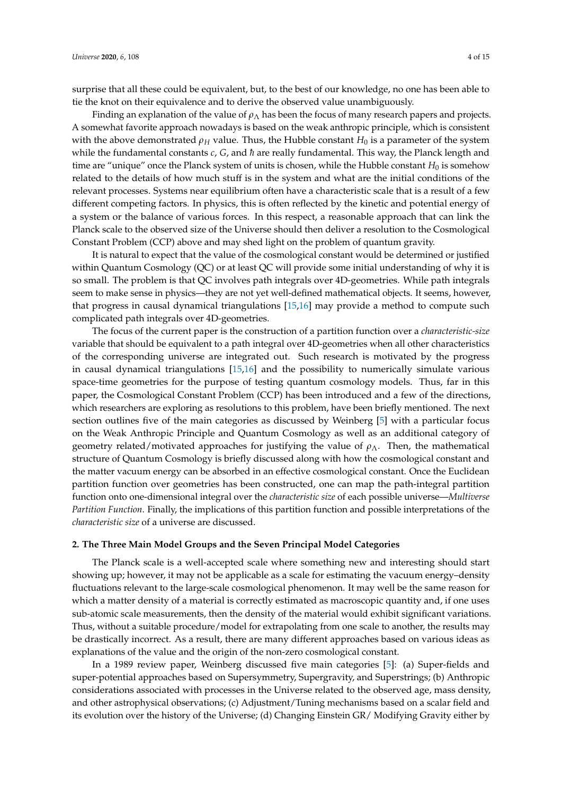surprise that all these could be equivalent, but, to the best of our knowledge, no one has been able to tie the knot on their equivalence and to derive the observed value unambiguously.

Finding an explanation of the value of  $\rho_{\Lambda}$  has been the focus of many research papers and projects. A somewhat favorite approach nowadays is based on the weak anthropic principle, which is consistent with the above demonstrated  $\rho_H$  value. Thus, the Hubble constant  $H_0$  is a parameter of the system while the fundamental constants *c*, *G*, and *h* are really fundamental. This way, the Planck length and time are "unique" once the Planck system of units is chosen, while the Hubble constant  $H_0$  is somehow related to the details of how much stuff is in the system and what are the initial conditions of the relevant processes. Systems near equilibrium often have a characteristic scale that is a result of a few different competing factors. In physics, this is often reflected by the kinetic and potential energy of a system or the balance of various forces. In this respect, a reasonable approach that can link the Planck scale to the observed size of the Universe should then deliver a resolution to the Cosmological Constant Problem (CCP) above and may shed light on the problem of quantum gravity.

It is natural to expect that the value of the cosmological constant would be determined or justified within Quantum Cosmology (QC) or at least QC will provide some initial understanding of why it is so small. The problem is that QC involves path integrals over 4D-geometries. While path integrals seem to make sense in physics—they are not yet well-defined mathematical objects. It seems, however, that progress in causal dynamical triangulations [\[15](#page-14-7)[,16\]](#page-14-8) may provide a method to compute such complicated path integrals over 4D-geometries.

The focus of the current paper is the construction of a partition function over a *characteristic-size* variable that should be equivalent to a path integral over 4D-geometries when all other characteristics of the corresponding universe are integrated out. Such research is motivated by the progress in causal dynamical triangulations [\[15](#page-14-7)[,16\]](#page-14-8) and the possibility to numerically simulate various space-time geometries for the purpose of testing quantum cosmology models. Thus, far in this paper, the Cosmological Constant Problem (CCP) has been introduced and a few of the directions, which researchers are exploring as resolutions to this problem, have been briefly mentioned. The next section outlines five of the main categories as discussed by Weinberg [\[5\]](#page-13-2) with a particular focus on the Weak Anthropic Principle and Quantum Cosmology as well as an additional category of geometry related/motivated approaches for justifying the value of  $ρ<sub>Λ</sub>$ . Then, the mathematical structure of Quantum Cosmology is briefly discussed along with how the cosmological constant and the matter vacuum energy can be absorbed in an effective cosmological constant. Once the Euclidean partition function over geometries has been constructed, one can map the path-integral partition function onto one-dimensional integral over the *characteristic size* of each possible universe—*Multiverse Partition Function*. Finally, the implications of this partition function and possible interpretations of the *characteristic size* of a universe are discussed.

#### **2. The Three Main Model Groups and the Seven Principal Model Categories**

The Planck scale is a well-accepted scale where something new and interesting should start showing up; however, it may not be applicable as a scale for estimating the vacuum energy–density fluctuations relevant to the large-scale cosmological phenomenon. It may well be the same reason for which a matter density of a material is correctly estimated as macroscopic quantity and, if one uses sub-atomic scale measurements, then the density of the material would exhibit significant variations. Thus, without a suitable procedure/model for extrapolating from one scale to another, the results may be drastically incorrect. As a result, there are many different approaches based on various ideas as explanations of the value and the origin of the non-zero cosmological constant.

In a 1989 review paper, Weinberg discussed five main categories [\[5\]](#page-13-2): (a) Super-fields and super-potential approaches based on Supersymmetry, Supergravity, and Superstrings; (b) Anthropic considerations associated with processes in the Universe related to the observed age, mass density, and other astrophysical observations; (c) Adjustment/Tuning mechanisms based on a scalar field and its evolution over the history of the Universe; (d) Changing Einstein GR/ Modifying Gravity either by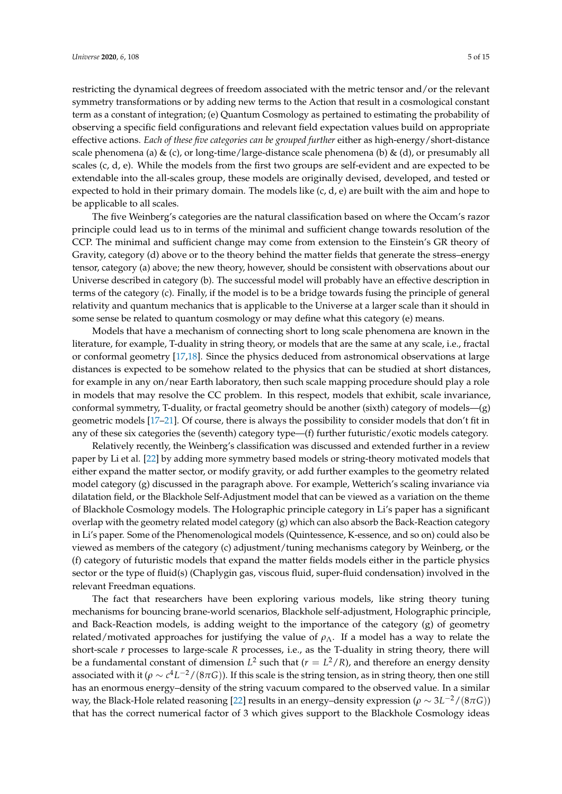restricting the dynamical degrees of freedom associated with the metric tensor and/or the relevant symmetry transformations or by adding new terms to the Action that result in a cosmological constant term as a constant of integration; (e) Quantum Cosmology as pertained to estimating the probability of observing a specific field configurations and relevant field expectation values build on appropriate effective actions. *Each of these five categories can be grouped further* either as high-energy/short-distance scale phenomena (a) & (c), or long-time/large-distance scale phenomena (b) & (d), or presumably all scales (c, d, e). While the models from the first two groups are self-evident and are expected to be extendable into the all-scales group, these models are originally devised, developed, and tested or expected to hold in their primary domain. The models like  $(c, d, e)$  are built with the aim and hope to be applicable to all scales.

The five Weinberg's categories are the natural classification based on where the Occam's razor principle could lead us to in terms of the minimal and sufficient change towards resolution of the CCP. The minimal and sufficient change may come from extension to the Einstein's GR theory of Gravity, category (d) above or to the theory behind the matter fields that generate the stress–energy tensor, category (a) above; the new theory, however, should be consistent with observations about our Universe described in category (b). The successful model will probably have an effective description in terms of the category (c). Finally, if the model is to be a bridge towards fusing the principle of general relativity and quantum mechanics that is applicable to the Universe at a larger scale than it should in some sense be related to quantum cosmology or may define what this category (e) means.

Models that have a mechanism of connecting short to long scale phenomena are known in the literature, for example, T-duality in string theory, or models that are the same at any scale, i.e., fractal or conformal geometry [\[17](#page-14-9)[,18\]](#page-14-10). Since the physics deduced from astronomical observations at large distances is expected to be somehow related to the physics that can be studied at short distances, for example in any on/near Earth laboratory, then such scale mapping procedure should play a role in models that may resolve the CC problem. In this respect, models that exhibit, scale invariance, conformal symmetry, T-duality, or fractal geometry should be another (sixth) category of models—(g) geometric models [\[17](#page-14-9)[–21\]](#page-14-11). Of course, there is always the possibility to consider models that don't fit in any of these six categories the (seventh) category type—(f) further futuristic/exotic models category.

Relatively recently, the Weinberg's classification was discussed and extended further in a review paper by Li et al. [\[22\]](#page-14-12) by adding more symmetry based models or string-theory motivated models that either expand the matter sector, or modify gravity, or add further examples to the geometry related model category (g) discussed in the paragraph above. For example, Wetterich's scaling invariance via dilatation field, or the Blackhole Self-Adjustment model that can be viewed as a variation on the theme of Blackhole Cosmology models. The Holographic principle category in Li's paper has a significant overlap with the geometry related model category (g) which can also absorb the Back-Reaction category in Li's paper. Some of the Phenomenological models (Quintessence, K-essence, and so on) could also be viewed as members of the category (c) adjustment/tuning mechanisms category by Weinberg, or the (f) category of futuristic models that expand the matter fields models either in the particle physics sector or the type of fluid(s) (Chaplygin gas, viscous fluid, super-fluid condensation) involved in the relevant Freedman equations.

The fact that researchers have been exploring various models, like string theory tuning mechanisms for bouncing brane-world scenarios, Blackhole self-adjustment, Holographic principle, and Back-Reaction models, is adding weight to the importance of the category  $(g)$  of geometry related/motivated approaches for justifying the value of  $\rho_{\Lambda}$ . If a model has a way to relate the short-scale *r* processes to large-scale *R* processes, i.e., as the T-duality in string theory, there will be a fundamental constant of dimension  $L^2$  such that ( $r = L^2/R$ ), and therefore an energy density associated with it ( $\rho\sim c^4L^{-2}/(8\pi G)$ ). If this scale is the string tension, as in string theory, then one still has an enormous energy–density of the string vacuum compared to the observed value. In a similar way, the Black-Hole related reasoning [\[22\]](#page-14-12) results in an energy–density expression (*ρ* ∼ 3*L* <sup>−</sup>2/(8*πG*)) that has the correct numerical factor of 3 which gives support to the Blackhole Cosmology ideas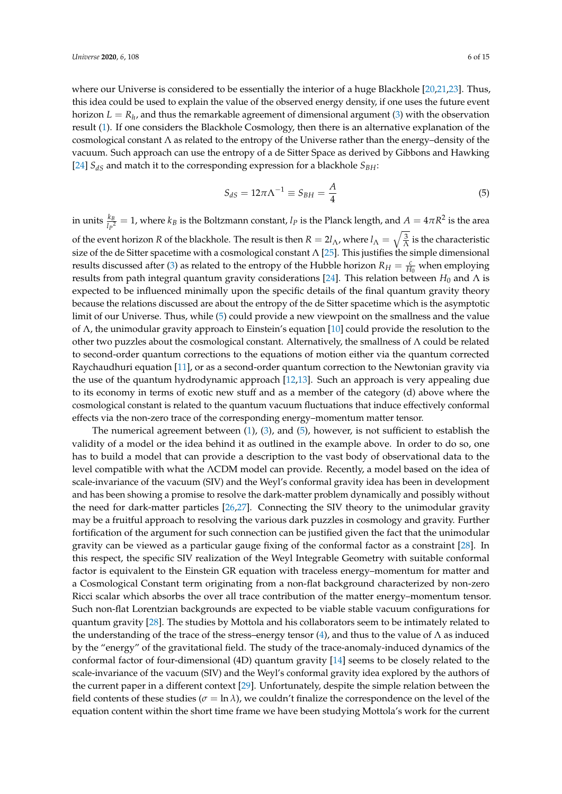where our Universe is considered to be essentially the interior of a huge Blackhole [\[20,](#page-14-13)[21,](#page-14-11)[23\]](#page-14-14). Thus, this idea could be used to explain the value of the observed energy density, if one uses the future event horizon  $L = R_h$ , and thus the remarkable agreement of dimensional argument [\(3\)](#page-1-0) with the observation result [\(1\)](#page-1-1). If one considers the Blackhole Cosmology, then there is an alternative explanation of the cosmological constant Λ as related to the entropy of the Universe rather than the energy–density of the vacuum. Such approach can use the entropy of a de Sitter Space as derived by Gibbons and Hawking [\[24\]](#page-14-15)  $S_{dS}$  and match it to the corresponding expression for a blackhole  $S_{BH}$ :

<span id="page-5-0"></span>
$$
S_{dS} = 12\pi\Lambda^{-1} \equiv S_{BH} = \frac{A}{4} \tag{5}
$$

in units  $\frac{k_B}{l_P^2} = 1$ , where  $k_B$  is the Boltzmann constant,  $l_P$  is the Planck length, and  $A = 4\pi R^2$  is the area of the event horizon *R* of the blackhole. The result is then  $R=2l_A$ , where  $l_A=\sqrt{\frac{3}{\Lambda}}$  is the characteristic size of the de Sitter spacetime with a cosmological constant  $\Lambda$  [\[25\]](#page-14-16). This justifies the simple dimensional results discussed after [\(3\)](#page-1-0) as related to the entropy of the Hubble horizon  $R_H = \frac{c}{H_0}$  when employing results from path integral quantum gravity considerations [\[24\]](#page-14-15). This relation between  $H_0$  and  $\Lambda$  is expected to be influenced minimally upon the specific details of the final quantum gravity theory because the relations discussed are about the entropy of the de Sitter spacetime which is the asymptotic limit of our Universe. Thus, while [\(5\)](#page-5-0) could provide a new viewpoint on the smallness and the value of  $\Lambda$ , the unimodular gravity approach to Einstein's equation [\[10\]](#page-14-2) could provide the resolution to the other two puzzles about the cosmological constant. Alternatively, the smallness of  $\Lambda$  could be related to second-order quantum corrections to the equations of motion either via the quantum corrected Raychaudhuri equation [\[11\]](#page-14-3), or as a second-order quantum correction to the Newtonian gravity via the use of the quantum hydrodynamic approach [\[12,](#page-14-4)[13\]](#page-14-5). Such an approach is very appealing due to its economy in terms of exotic new stuff and as a member of the category (d) above where the cosmological constant is related to the quantum vacuum fluctuations that induce effectively conformal effects via the non-zero trace of the corresponding energy–momentum matter tensor.

The numerical agreement between  $(1)$ ,  $(3)$ , and  $(5)$ , however, is not sufficient to establish the validity of a model or the idea behind it as outlined in the example above. In order to do so, one has to build a model that can provide a description to the vast body of observational data to the level compatible with what the ΛCDM model can provide. Recently, a model based on the idea of scale-invariance of the vacuum (SIV) and the Weyl's conformal gravity idea has been in development and has been showing a promise to resolve the dark-matter problem dynamically and possibly without the need for dark-matter particles [\[26,](#page-14-17)[27\]](#page-14-18). Connecting the SIV theory to the unimodular gravity may be a fruitful approach to resolving the various dark puzzles in cosmology and gravity. Further fortification of the argument for such connection can be justified given the fact that the unimodular gravity can be viewed as a particular gauge fixing of the conformal factor as a constraint [\[28\]](#page-14-19). In this respect, the specific SIV realization of the Weyl Integrable Geometry with suitable conformal factor is equivalent to the Einstein GR equation with traceless energy–momentum for matter and a Cosmological Constant term originating from a non-flat background characterized by non-zero Ricci scalar which absorbs the over all trace contribution of the matter energy–momentum tensor. Such non-flat Lorentzian backgrounds are expected to be viable stable vacuum configurations for quantum gravity [\[28\]](#page-14-19). The studies by Mottola and his collaborators seem to be intimately related to the understanding of the trace of the stress–energy tensor [\(4\)](#page-2-0), and thus to the value of  $\Lambda$  as induced by the "energy" of the gravitational field. The study of the trace-anomaly-induced dynamics of the conformal factor of four-dimensional (4D) quantum gravity [\[14\]](#page-14-6) seems to be closely related to the scale-invariance of the vacuum (SIV) and the Weyl's conformal gravity idea explored by the authors of the current paper in a different context [\[29\]](#page-14-20). Unfortunately, despite the simple relation between the field contents of these studies ( $\sigma = \ln \lambda$ ), we couldn't finalize the correspondence on the level of the equation content within the short time frame we have been studying Mottola's work for the current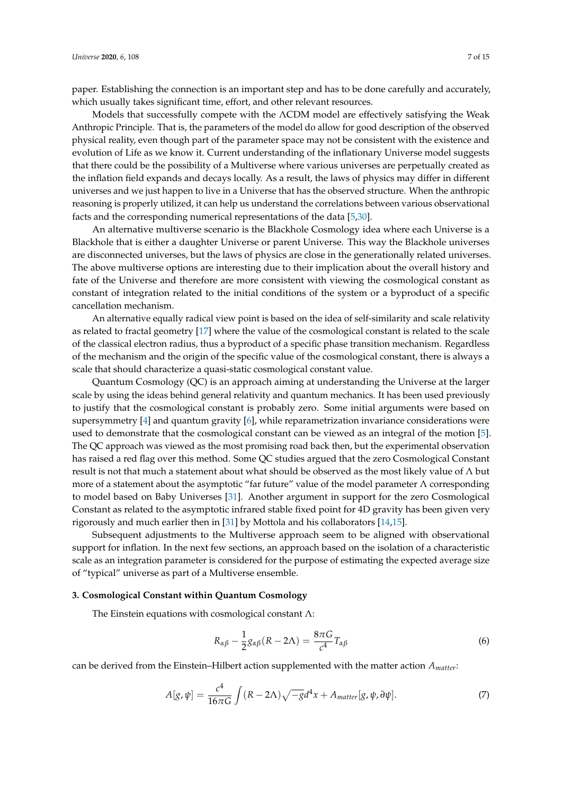paper. Establishing the connection is an important step and has to be done carefully and accurately, which usually takes significant time, effort, and other relevant resources.

Models that successfully compete with the ΛCDM model are effectively satisfying the Weak Anthropic Principle. That is, the parameters of the model do allow for good description of the observed physical reality, even though part of the parameter space may not be consistent with the existence and evolution of Life as we know it. Current understanding of the inflationary Universe model suggests that there could be the possibility of a Multiverse where various universes are perpetually created as the inflation field expands and decays locally. As a result, the laws of physics may differ in different universes and we just happen to live in a Universe that has the observed structure. When the anthropic reasoning is properly utilized, it can help us understand the correlations between various observational facts and the corresponding numerical representations of the data [\[5](#page-13-2)[,30\]](#page-14-21).

An alternative multiverse scenario is the Blackhole Cosmology idea where each Universe is a Blackhole that is either a daughter Universe or parent Universe. This way the Blackhole universes are disconnected universes, but the laws of physics are close in the generationally related universes. The above multiverse options are interesting due to their implication about the overall history and fate of the Universe and therefore are more consistent with viewing the cosmological constant as constant of integration related to the initial conditions of the system or a byproduct of a specific cancellation mechanism.

An alternative equally radical view point is based on the idea of self-similarity and scale relativity as related to fractal geometry [\[17\]](#page-14-9) where the value of the cosmological constant is related to the scale of the classical electron radius, thus a byproduct of a specific phase transition mechanism. Regardless of the mechanism and the origin of the specific value of the cosmological constant, there is always a scale that should characterize a quasi-static cosmological constant value.

Quantum Cosmology (QC) is an approach aiming at understanding the Universe at the larger scale by using the ideas behind general relativity and quantum mechanics. It has been used previously to justify that the cosmological constant is probably zero. Some initial arguments were based on supersymmetry [\[4\]](#page-13-4) and quantum gravity [\[6\]](#page-13-3), while reparametrization invariance considerations were used to demonstrate that the cosmological constant can be viewed as an integral of the motion [\[5\]](#page-13-2). The QC approach was viewed as the most promising road back then, but the experimental observation has raised a red flag over this method. Some QC studies argued that the zero Cosmological Constant result is not that much a statement about what should be observed as the most likely value of  $\Lambda$  but more of a statement about the asymptotic "far future" value of the model parameter Λ corresponding to model based on Baby Universes [\[31\]](#page-14-22). Another argument in support for the zero Cosmological Constant as related to the asymptotic infrared stable fixed point for 4D gravity has been given very rigorously and much earlier then in [\[31\]](#page-14-22) by Mottola and his collaborators [\[14,](#page-14-6)[15\]](#page-14-7).

Subsequent adjustments to the Multiverse approach seem to be aligned with observational support for inflation. In the next few sections, an approach based on the isolation of a characteristic scale as an integration parameter is considered for the purpose of estimating the expected average size of "typical" universe as part of a Multiverse ensemble.

#### **3. Cosmological Constant within Quantum Cosmology**

The Einstein equations with cosmological constant Λ:

<span id="page-6-0"></span>
$$
R_{\alpha\beta} - \frac{1}{2}g_{\alpha\beta}(R - 2\Lambda) = \frac{8\pi G}{c^4}T_{\alpha\beta}
$$
\n(6)

can be derived from the Einstein–Hilbert action supplemented with the matter action *Amatter*:

<span id="page-6-1"></span>
$$
A[g,\psi] = \frac{c^4}{16\pi G} \int (R - 2\Lambda) \sqrt{-g} d^4x + A_{matter}[g,\psi,\partial\psi].
$$
 (7)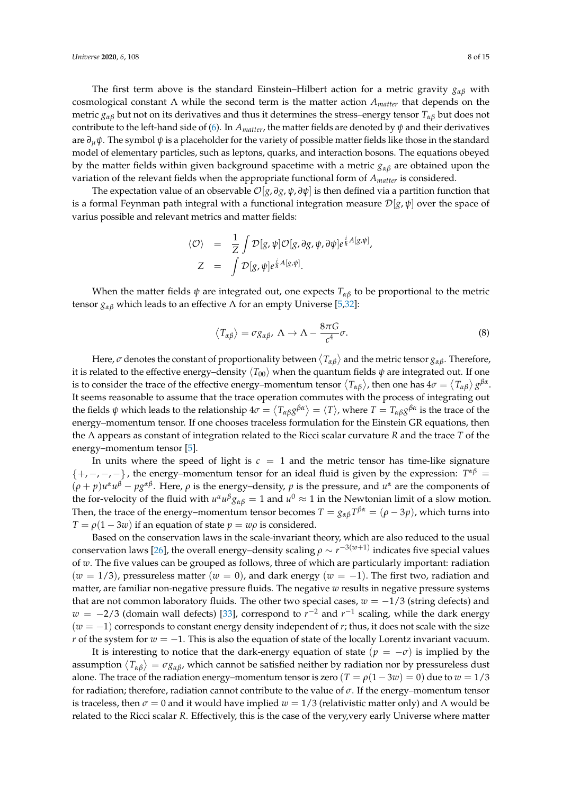The first term above is the standard Einstein–Hilbert action for a metric gravity *gαβ* with cosmological constant Λ while the second term is the matter action *Amatter* that depends on the metric  $g_{\alpha\beta}$  but not on its derivatives and thus it determines the stress–energy tensor  $T_{\alpha\beta}$  but does not contribute to the left-hand side of [\(6\)](#page-6-0). In  $A<sub>matter</sub>$ , the matter fields are denoted by  $\psi$  and their derivatives are *∂µψ*. The symbol *ψ* is a placeholder for the variety of possible matter fields like those in the standard model of elementary particles, such as leptons, quarks, and interaction bosons. The equations obeyed by the matter fields within given background spacetime with a metric *gαβ* are obtained upon the variation of the relevant fields when the appropriate functional form of *Amatter* is considered.

The expectation value of an observable  $\mathcal{O}[g,\partial g,\psi,\partial \psi]$  is then defined via a partition function that is a formal Feynman path integral with a functional integration measure  $\mathcal{D}[g, \psi]$  over the space of varius possible and relevant metrics and matter fields:

$$
\langle \mathcal{O} \rangle = \frac{1}{Z} \int \mathcal{D}[g, \psi] \mathcal{O}[g, \partial g, \psi, \partial \psi] e^{\frac{i}{\hbar} A[g, \psi]},
$$
  

$$
Z = \int \mathcal{D}[g, \psi] e^{\frac{i}{\hbar} A[g, \psi]}.
$$

When the matter fields  $\psi$  are integrated out, one expects  $T_{\alpha\beta}$  to be proportional to the metric tensor *gαβ* which leads to an effective Λ for an empty Universe [\[5](#page-13-2)[,32\]](#page-14-23):

<span id="page-7-0"></span>
$$
\langle T_{\alpha\beta} \rangle = \sigma g_{\alpha\beta}, \ \Lambda \to \Lambda - \frac{8\pi G}{c^4} \sigma. \tag{8}
$$

Here,  $\sigma$  denotes the constant of proportionality between  $\langle T_{\alpha\beta}\rangle$  and the metric tensor  $g_{\alpha\beta}$ . Therefore, it is related to the effective energy–density  $\langle T_{00} \rangle$  when the quantum fields  $\psi$  are integrated out. If one is to consider the trace of the effective energy–momentum tensor  $\langle T_{\alpha\beta}\rangle$ , then one has  $4\sigma=\langle T_{\alpha\beta}\rangle\,g^{\beta\alpha}.$ It seems reasonable to assume that the trace operation commutes with the process of integrating out the fields  $ψ$  which leads to the relationship  $4σ = \langle T_{\alpha\beta}g^{\beta\alpha}\rangle = \langle T\rangle$ , where  $T=T_{\alpha\beta}g^{\beta\alpha}$  is the trace of the energy–momentum tensor. If one chooses traceless formulation for the Einstein GR equations, then the Λ appears as constant of integration related to the Ricci scalar curvature *R* and the trace *T* of the energy–momentum tensor [\[5\]](#page-13-2).

In units where the speed of light is  $c = 1$  and the metric tensor has time-like signature  $\{+, -, -, -\}$ , the energy–momentum tensor for an ideal fluid is given by the expression:  $T^{\alpha\beta}$  =  $(\rho + p)u^{\alpha}u^{\beta} - pg^{\alpha\beta}$ . Here,  $\rho$  is the energy–density,  $p$  is the pressure, and  $u^{\alpha}$  are the components of the for-velocity of the fluid with  $u^{\alpha}u^{\beta}g_{\alpha\beta} = 1$  and  $u^0 \approx 1$  in the Newtonian limit of a slow motion. Then, the trace of the energy–momentum tensor becomes  $T = g_{\alpha\beta}T^{\beta\alpha} = (\rho - 3p)$ , which turns into  $T = \rho(1 - 3w)$  if an equation of state  $p = w\rho$  is considered.

Based on the conservation laws in the scale-invariant theory, which are also reduced to the usual conservation laws [\[26\]](#page-14-17), the overall energy–density scaling  $\rho \sim r^{-3(w+1)}$  indicates five special values of *w*. The five values can be grouped as follows, three of which are particularly important: radiation  $(w = 1/3)$ , pressureless matter  $(w = 0)$ , and dark energy  $(w = -1)$ . The first two, radiation and matter, are familiar non-negative pressure fluids. The negative *w* results in negative pressure systems that are not common laboratory fluids. The other two special cases,  $w = -1/3$  (string defects) and  $w = -2/3$  (domain wall defects) [\[33\]](#page-14-24), correspond to  $r^{-2}$  and  $r^{-1}$  scaling, while the dark energy (*w* = −1) corresponds to constant energy density independent of *r*; thus, it does not scale with the size *r* of the system for *w* = −1. This is also the equation of state of the locally Lorentz invariant vacuum.

It is interesting to notice that the dark-energy equation of state ( $p = -\sigma$ ) is implied by the assumption  $\langle T_{\alpha\beta}\rangle = \sigma g_{\alpha\beta}$ , which cannot be satisfied neither by radiation nor by pressureless dust alone. The trace of the radiation energy–momentum tensor is zero  $(T = \rho(1 - 3w) = 0)$  due to  $w = 1/3$ for radiation; therefore, radiation cannot contribute to the value of *σ*. If the energy–momentum tensor is traceless, then  $\sigma = 0$  and it would have implied  $w = 1/3$  (relativistic matter only) and  $\Lambda$  would be related to the Ricci scalar *R*. Effectively, this is the case of the very,very early Universe where matter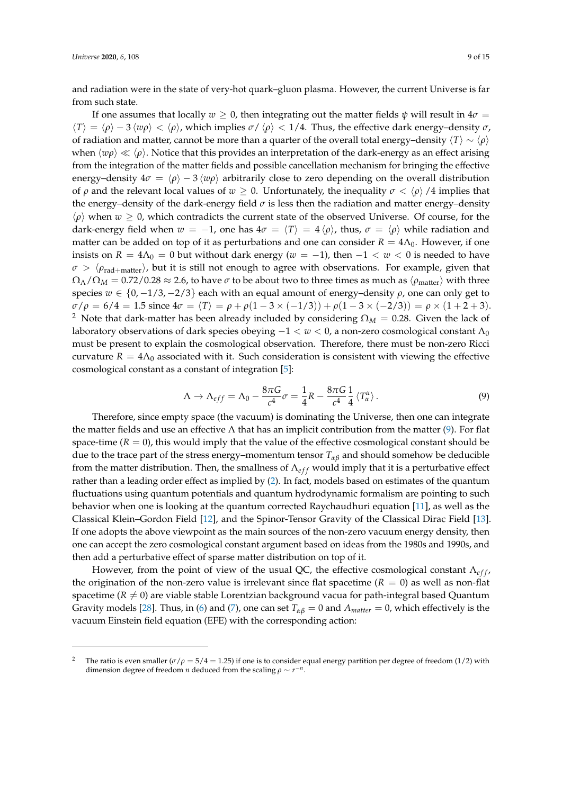and radiation were in the state of very-hot quark–gluon plasma. However, the current Universe is far from such state.

If one assumes that locally  $w \geq 0$ , then integrating out the matter fields  $\psi$  will result in  $4\sigma =$  $\langle T \rangle = \langle \rho \rangle - 3 \langle w \rho \rangle < \langle \rho \rangle$ , which implies  $\sigma / \langle \rho \rangle < 1/4$ . Thus, the effective dark energy–density  $\sigma$ , of radiation and matter, cannot be more than a quarter of the overall total energy–density  $\langle T \rangle \sim \langle \rho \rangle$ when  $\langle w\rho \rangle \ll \langle \rho \rangle$ . Notice that this provides an interpretation of the dark-energy as an effect arising from the integration of the matter fields and possible cancellation mechanism for bringing the effective energy–density  $4\sigma = \langle \rho \rangle - 3 \langle w\rho \rangle$  arbitrarily close to zero depending on the overall distribution of *ρ* and the relevant local values of  $w \ge 0$ . Unfortunately, the inequality  $\sigma < \langle \rho \rangle /4$  implies that the energy–density of the dark-energy field  $\sigma$  is less then the radiation and matter energy–density  $\langle \rho \rangle$  when  $w \ge 0$ , which contradicts the current state of the observed Universe. Of course, for the dark-energy field when  $w = -1$ , one has  $4\sigma = \langle T \rangle = 4 \langle \rho \rangle$ , thus,  $\sigma = \langle \rho \rangle$  while radiation and matter can be added on top of it as perturbations and one can consider  $R = 4\Lambda_0$ . However, if one insists on  $R = 4\Lambda_0 = 0$  but without dark energy ( $w = -1$ ), then  $-1 < w < 0$  is needed to have  $\sigma > \langle \rho_{rad+matter} \rangle$ , but it is still not enough to agree with observations. For example, given that  $\Omega_\Lambda/\Omega_M = 0.72/0.28 \approx 2.6$ , to have  $\sigma$  to be about two to three times as much as  $\langle \rho_{\text{matter}} \rangle$  with three species  $w \in \{0, -1/3, -2/3\}$  each with an equal amount of energy–density  $\rho$ , one can only get to  $\sigma/\rho = 6/4 = 1.5$  since  $4\sigma = \langle T \rangle = \rho + \rho(1 - 3 \times (-1/3)) + \rho(1 - 3 \times (-2/3)) = \rho \times (1 + 2 + 3).$ <sup>2</sup> Note that dark-matter has been already included by considering  $\Omega_M = 0.28$ . Given the lack of laboratory observations of dark species obeying  $-1 < w < 0$ , a non-zero cosmological constant Λ<sub>0</sub> must be present to explain the cosmological observation. Therefore, there must be non-zero Ricci curvature  $R = 4\Lambda_0$  associated with it. Such consideration is consistent with viewing the effective cosmological constant as a constant of integration [\[5\]](#page-13-2):

<span id="page-8-0"></span>
$$
\Lambda \to \Lambda_{eff} = \Lambda_0 - \frac{8\pi G}{c^4} \sigma = \frac{1}{4} R - \frac{8\pi G}{c^4} \frac{1}{4} \langle T_\alpha^\alpha \rangle.
$$
 (9)

Therefore, since empty space (the vacuum) is dominating the Universe, then one can integrate the matter fields and use an effective  $\Lambda$  that has an implicit contribution from the matter [\(9\)](#page-8-0). For flat space-time  $(R = 0)$ , this would imply that the value of the effective cosmological constant should be due to the trace part of the stress energy–momentum tensor *Tαβ* and should somehow be deducible from the matter distribution. Then, the smallness of  $\Lambda_{eff}$  would imply that it is a perturbative effect rather than a leading order effect as implied by [\(2\)](#page-1-2). In fact, models based on estimates of the quantum fluctuations using quantum potentials and quantum hydrodynamic formalism are pointing to such behavior when one is looking at the quantum corrected Raychaudhuri equation [\[11\]](#page-14-3), as well as the Classical Klein–Gordon Field [\[12\]](#page-14-4), and the Spinor-Tensor Gravity of the Classical Dirac Field [\[13\]](#page-14-5). If one adopts the above viewpoint as the main sources of the non-zero vacuum energy density, then one can accept the zero cosmological constant argument based on ideas from the 1980s and 1990s, and then add a perturbative effect of sparse matter distribution on top of it.

However, from the point of view of the usual QC, the effective cosmological constant  $Λ_{eff}$ , the origination of the non-zero value is irrelevant since flat spacetime  $(R = 0)$  as well as non-flat spacetime  $(R \neq 0)$  are viable stable Lorentzian background vacua for path-integral based Quantum Gravity models [\[28\]](#page-14-19). Thus, in [\(6\)](#page-6-0) and [\(7\)](#page-6-1), one can set *Tαβ* = 0 and *Amatter* = 0, which effectively is the vacuum Einstein field equation (EFE) with the corresponding action:

The ratio is even smaller ( $\sigma/\rho = 5/4 = 1.25$ ) if one is to consider equal energy partition per degree of freedom (1/2) with dimension degree of freedom *n* deduced from the scaling  $\rho \sim r^{-n}$ .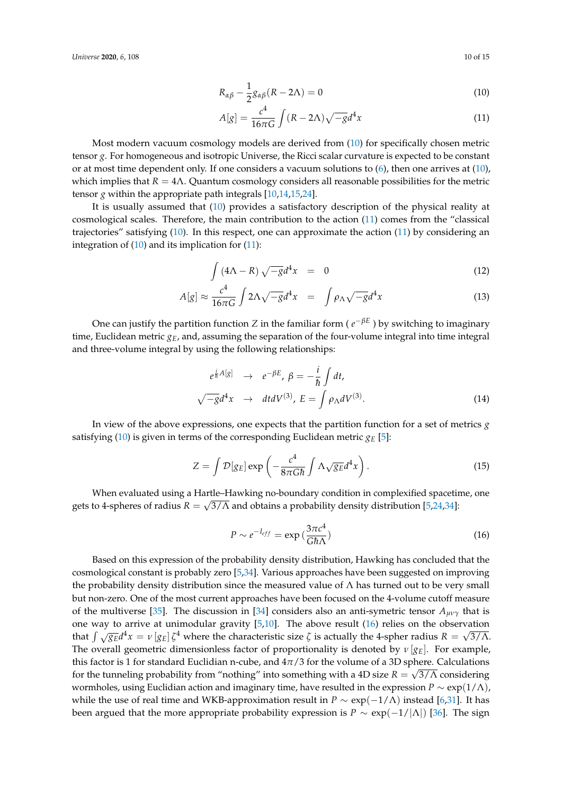<span id="page-9-0"></span>
$$
R_{\alpha\beta} - \frac{1}{2}g_{\alpha\beta}(R - 2\Lambda) = 0
$$
\n(10)

$$
A[g] = \frac{c^4}{16\pi G} \int (R - 2\Lambda) \sqrt{-g} d^4 x \tag{11}
$$

Most modern vacuum cosmology models are derived from [\(10\)](#page-9-0) for specifically chosen metric tensor *g*. For homogeneous and isotropic Universe, the Ricci scalar curvature is expected to be constant or at most time dependent only. If one considers a vacuum solutions to  $(6)$ , then one arrives at  $(10)$ , which implies that  $R = 4\Lambda$ . Quantum cosmology considers all reasonable possibilities for the metric tensor *g* within the appropriate path integrals [\[10,](#page-14-2)[14,](#page-14-6)[15,](#page-14-7)[24\]](#page-14-15).

It is usually assumed that [\(10\)](#page-9-0) provides a satisfactory description of the physical reality at cosmological scales. Therefore, the main contribution to the action [\(11\)](#page-9-0) comes from the "classical trajectories" satisfying [\(10\)](#page-9-0). In this respect, one can approximate the action [\(11\)](#page-9-0) by considering an integration of  $(10)$  and its implication for  $(11)$ :

<span id="page-9-4"></span>
$$
\int (4\Lambda - R) \sqrt{-g} d^4 x = 0 \tag{12}
$$

$$
A[g] \approx \frac{c^4}{16\pi G} \int 2\Lambda \sqrt{-g} d^4 x = \int \rho_\Lambda \sqrt{-g} d^4 x \tag{13}
$$

One can justify the partition function *Z* in the familiar form ( *e* −*βE* ) by switching to imaginary time, Euclidean metric *gE*, and, assuming the separation of the four-volume integral into time integral and three-volume integral by using the following relationships:

<span id="page-9-3"></span>
$$
e^{\frac{i}{\hbar}A[g]} \rightarrow e^{-\beta E}, \beta = -\frac{i}{\hbar} \int dt,
$$
  

$$
\sqrt{-g}d^4x \rightarrow dt dV^{(3)}, E = \int \rho_{\Lambda}dV^{(3)}.
$$
 (14)

In view of the above expressions, one expects that the partition function for a set of metrics *g* satisfying [\(10\)](#page-9-0) is given in terms of the corresponding Euclidean metric  $g_E$  [\[5\]](#page-13-2):

<span id="page-9-2"></span>
$$
Z = \int \mathcal{D}[g_E] \exp\left(-\frac{c^4}{8\pi G \hbar} \int \Lambda \sqrt{g_E} d^4 x\right).
$$
 (15)

When evaluated using a Hartle–Hawking no-boundary condition in complexified spacetime, one √ gets to 4-spheres of radius  $R=\sqrt{3/\Lambda}$  and obtains a probability density distribution [\[5](#page-13-2)[,24](#page-14-15)[,34\]](#page-14-25):

<span id="page-9-1"></span>
$$
P \sim e^{-I_{eff}} = \exp\left(\frac{3\pi c^4}{G\hbar\Lambda}\right)
$$
\n(16)

Based on this expression of the probability density distribution, Hawking has concluded that the cosmological constant is probably zero [\[5,](#page-13-2)[34\]](#page-14-25). Various approaches have been suggested on improving the probability density distribution since the measured value of  $\Lambda$  has turned out to be very small but non-zero. One of the most current approaches have been focused on the 4-volume cutoff measure of the multiverse [\[35\]](#page-14-26). The discussion in [\[34\]](#page-14-25) considers also an anti-symetric tensor *Aµνγ* that is one way to arrive at unimodular gravity [\[5,](#page-13-2)[10\]](#page-14-2). The above result [\(16\)](#page-9-1) relies on the observation that  $\int \sqrt{g_E} d^4x = v[g_E] \zeta^4$  where the characteristic size  $\zeta$  is actually the 4-spher radius  $R = \sqrt{3/\Lambda}$ . The overall geometric dimensionless factor of proportionality is denoted by *ν* [*gE*]. For example, this factor is 1 for standard Euclidian n-cube, and  $4\pi/3$  for the volume of a 3D sphere. Calculations for the tunneling probability from "nothing" into something with a 4D size  $R=\sqrt{3/\Lambda}$  considering wormholes, using Euclidian action and imaginary time, have resulted in the expression *P* ∼ exp(1/Λ), while the use of real time and WKB-approximation result in *P* ∼ exp( $-1/\Lambda$ ) instead [\[6,](#page-13-3)[31\]](#page-14-22). It has been argued that the more appropriate probability expression is  $P \sim \exp(-1/|\Lambda|)$  [\[36\]](#page-14-27). The sign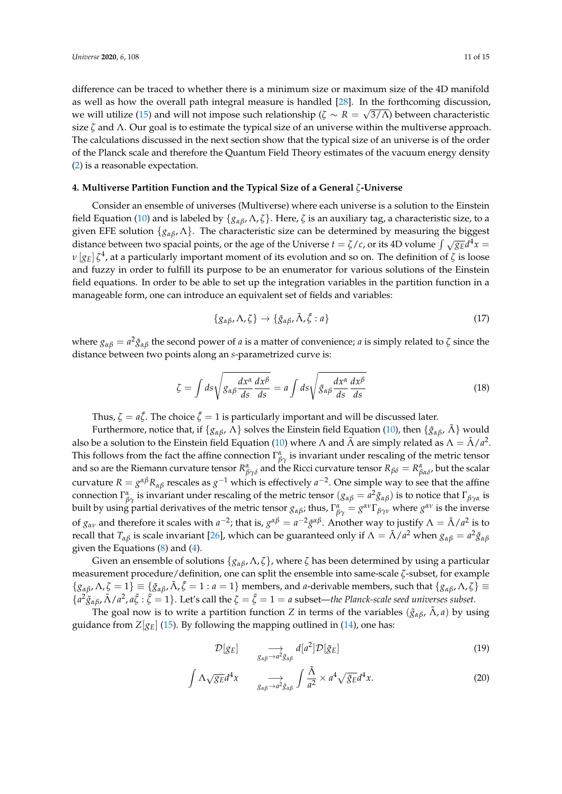difference can be traced to whether there is a minimum size or maximum size of the 4D manifold as well as how the overall path integral measure is handled [\[28\]](#page-14-19). In the forthcoming discussion, we will utilize [\(15\)](#page-9-2) and will not impose such relationship ( $\zeta \sim R = \sqrt{3}/\Lambda$ ) between characteristic size *ζ* and Λ. Our goal is to estimate the typical size of an universe within the multiverse approach. The calculations discussed in the next section show that the typical size of an universe is of the order of the Planck scale and therefore the Quantum Field Theory estimates of the vacuum energy density [\(2\)](#page-1-2) is a reasonable expectation.

#### **4. Multiverse Partition Function and the Typical Size of a General** *ζ***-Universe**

Consider an ensemble of universes (Multiverse) where each universe is a solution to the Einstein field Equation [\(10\)](#page-9-0) and is labeled by {*gαβ*, Λ, *ζ*}. Here, *ζ* is an auxiliary tag, a characteristic size, to a given EFE solution {*gαβ*, Λ}. The characteristic size can be determined by measuring the biggest distance between two spacial points, or the age of the Universe  $t = \zeta/c$ , or its 4D volume  $\int \sqrt{g_E} d^4x$ *ν* [ $g_E$ ]  $\zeta^4$ , at a particularly important moment of its evolution and so on. The definition of  $\zeta$  is loose and fuzzy in order to fulfill its purpose to be an enumerator for various solutions of the Einstein field equations. In order to be able to set up the integration variables in the partition function in a manageable form, one can introduce an equivalent set of fields and variables:

$$
\{g_{\alpha\beta}, \Lambda, \zeta\} \to \{\tilde{g}_{\alpha\beta}, \tilde{\Lambda}, \tilde{\zeta} : a\}
$$
 (17)

where  $g_{\alpha\beta} = a^2 \tilde{g}_{\alpha\beta}$  the second power of *a* is a matter of convenience; *a* is simply related to  $\zeta$  since the distance between two points along an *s*-parametrized curve is:

$$
\zeta = \int ds \sqrt{g_{\alpha\beta} \frac{dx^{\alpha}}{ds} \frac{dx^{\beta}}{ds}} = a \int ds \sqrt{\tilde{g}_{\alpha\beta} \frac{dx^{\alpha}}{ds} \frac{dx^{\beta}}{ds}}
$$
(18)

Thus,  $\zeta=a\tilde\zeta.$  The choice  $\tilde\zeta=1$  is particularly important and will be discussed later.

Furthermore, notice that, if  $\{g_{\alpha\beta}, \Lambda\}$  solves the Einstein field Equation [\(10\)](#page-9-0), then  $\{\tilde{g}_{\alpha\beta}, \tilde{\Lambda}\}$  would also be a solution to the Einstein field Equation [\(10\)](#page-9-0) where  $\Lambda$  and  $\tilde{\Lambda}$  are simply related as  $\Lambda = \tilde{\Lambda}/a^2$ . This follows from the fact the affine connection  $\Gamma^\alpha_{\beta\gamma}$  is invariant under rescaling of the metric tensor and so are the Riemann curvature tensor  $R^\alpha_{\beta\gamma\delta}$  and the Ricci curvature tensor  $R_{\beta\delta}=R^\alpha_{\beta\alpha\delta}$ , but the scalar curvature  $R = g^{\alpha\beta}R_{\alpha\beta}$  rescales as  $g^{-1}$  which is effectively  $a^{-2}$ . One simple way to see that the affine connection  $\Gamma^{\alpha}_{\beta\gamma}$  is invariant under rescaling of the metric tensor (*g<sub>αβ</sub>* =  $a^2 \tilde{g}_{\alpha\beta}$ ) is to notice that  $\Gamma_{\beta\gamma\alpha}$  is built by using partial derivatives of the metric tensor  $g_{\alpha\beta}$ ; thus,  $\Gamma^\alpha_{\beta\gamma} = g^{\alpha\nu}\Gamma_{\beta\gamma\nu}$  where  $g^{\alpha\nu}$  is the inverse of  $g_{\alpha\nu}$  and therefore it scales with  $a^{-2}$ ; that is,  $g^{\alpha\beta} = a^{-2}\tilde{g}^{\alpha\beta}$ . Another way to justify  $\Lambda = \tilde{\Lambda}/a^2$  is to recall that  $T_{\alpha\beta}$  is scale invariant [\[26\]](#page-14-17), which can be guaranteed only if  $Λ = Λ/a^2$  when  $g_{\alpha\beta} = a^2 \tilde{g}_{\alpha\beta}$ given the Equations [\(8\)](#page-7-0) and [\(4\)](#page-2-0).

Given an ensemble of solutions {*gαβ*, Λ, *ζ*}, where *ζ* has been determined by using a particular measurement procedure/definition, one can split the ensemble into same-scale *ζ*-subset, for example  ${g_{\alpha\beta}, \Delta, \zeta = 1} \equiv {\tilde{g}_{\alpha\beta}, \tilde{\Delta}, \tilde{\zeta} = 1 : a = 1}$  members, and *a*-derivable members, such that  ${g_{\alpha\beta}, \Delta, \zeta} \equiv \tilde{g}_{\alpha\beta}$  ${a^2 \tilde{g}_{\alpha\beta}, \tilde{\Lambda}/a^2, a\tilde{\zeta} : \tilde{\zeta} = 1}.$  Let's call the  $\zeta = \tilde{\zeta} = 1 = a$  subset—*the Planck-scale seed universes subset.* 

The goal now is to write a partition function *Z* in terms of the variables ( $\tilde{g}_{\alpha\beta}$ ,  $\tilde{\Lambda}$ , *a*) by using guidance from  $Z[g_E]$  [\(15\)](#page-9-2). By following the mapping outlined in [\(14\)](#page-9-3), one has:

$$
\mathcal{D}[g_E] \longrightarrow_{g_{\alpha\beta} \to a^2 \tilde{g}_{\alpha\beta}} d[a^2] \mathcal{D}[\tilde{g}_E]
$$
\n
$$
(19)
$$

$$
\int \Lambda \sqrt{g_E} d^4 x \qquad \underset{\mathcal{S}\alpha\beta \to a^2 \tilde{\mathcal{S}}\alpha\beta}{\longrightarrow} \int \frac{\tilde{\Lambda}}{a^2} \times a^4 \sqrt{\tilde{g}_E} d^4 x. \tag{20}
$$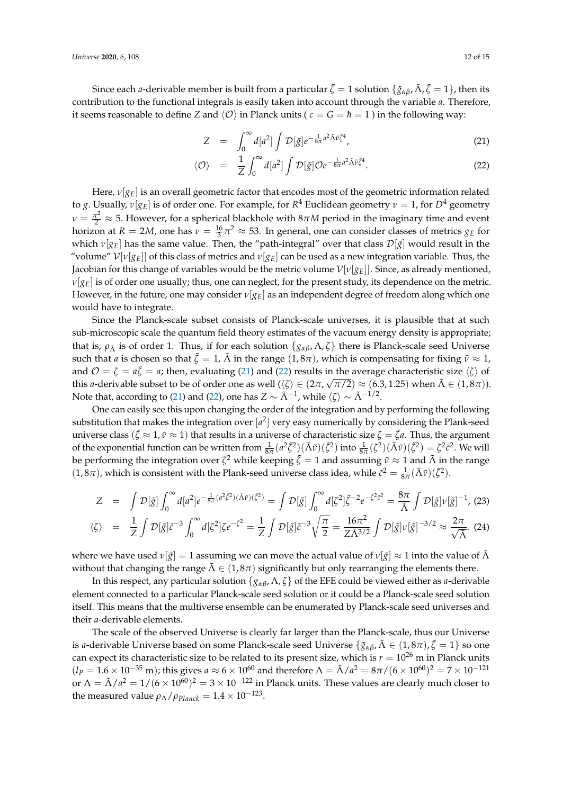Since each *a*-derivable member is built from a particular  $\tilde{\zeta} = 1$  solution  $\{\tilde{g}_{\alpha\beta}, \tilde{\Lambda}, \tilde{\zeta} = 1\}$ , then its contribution to the functional integrals is easily taken into account through the variable *a*. Therefore, it seems reasonable to define *Z* and  $\langle \mathcal{O} \rangle$  in Planck units (  $c = G = h = 1$  ) in the following way:

<span id="page-11-0"></span>
$$
Z = \int_0^\infty d[a^2] \int \mathcal{D}[\tilde{g}] e^{-\frac{1}{8\pi} a^2 \tilde{\Lambda} \tilde{v} \tilde{\zeta}^4}, \tag{21}
$$

$$
\langle \mathcal{O} \rangle = \frac{1}{Z} \int_0^\infty d[a^2] \int \mathcal{D}[\tilde{g}] \mathcal{O} e^{-\frac{1}{8\pi} a^2 \tilde{\Lambda} \tilde{v} \tilde{\zeta}^4}.
$$
 (22)

Here, *ν*[*gE*] is an overall geometric factor that encodes most of the geometric information related to *g*. Usually, *ν*[*gE*] is of order one. For example, for *R* <sup>4</sup> Euclidean geometry *ν* = 1, for *D*<sup>4</sup> geometry  $\nu = \frac{\pi^2}{2} \approx 5$ . However, for a spherical blackhole with  $8\pi M$  period in the imaginary time and event horizon at *R* = 2*M*, one has  $\nu = \frac{16}{3}\pi^2 \approx 53$ . In general, one can consider classes of metrics  $g_E$  for which  $\nu[g_E]$  has the same value. Then, the "path-integral" over that class  $\mathcal{D}[\tilde{g}]$  would result in the "volume"  $V[v[g_E]]$  of this class of metrics and  $v[g_E]$  can be used as a new integration variable. Thus, the Jacobian for this change of variables would be the metric volume V[*ν*[*gE*]]. Since, as already mentioned,  $\nu[g_E]$  is of order one usually; thus, one can neglect, for the present study, its dependence on the metric. However, in the future, one may consider *ν*[*gE*] as an independent degree of freedom along which one would have to integrate.

Since the Planck-scale subset consists of Planck-scale universes, it is plausible that at such sub-microscopic scale the quantum field theory estimates of the vacuum energy density is appropriate; that is,  $\rho_{\tilde{\Lambda}}$  is of order 1. Thus, if for each solution  $\{g_{\alpha\beta}, \Lambda, \zeta\}$  there is Planck-scale seed Universe such that *a* is chosen so that  $\tilde{\zeta} = 1$ ,  $\tilde{\Lambda}$  in the range  $(1, 8\pi)$ , which is compensating for fixing  $\tilde{\nu} \approx 1$ , and  $\mathcal{O} = \zeta = a\tilde{\zeta} = a$ ; then, evaluating [\(21\)](#page-11-0) and [\(22\)](#page-11-0) results in the average characteristic size  $\langle \zeta \rangle$  of this *a*-derivable subset to be of order one as well  $(\langle \zeta \rangle \in (2\pi, \sqrt{\pi/2}) \approx (6.3, 1.25)$  when  $\tilde{\Lambda} \in (1, 8\pi)$ ). Note that, according to [\(21\)](#page-11-0) and [\(22\)](#page-11-0), one has  $Z\sim \tilde\Lambda^{-1}$ , while  $\langle \zeta\rangle\sim \tilde\Lambda^{-1/2}.$ 

One can easily see this upon changing the order of the integration and by performing the following substitution that makes the integration over  $[a^2]$  very easy numerically by considering the Plank-seed universe class  $(\tilde{\zeta} \approx 1, \tilde{\nu} \approx 1)$  that results in a universe of characteristic size  $\zeta = \tilde{\zeta}$ *a*. Thus, the argument of the exponential function can be written from  $\frac{1}{8\pi} (a^2 \tilde{\zeta}^2)(\tilde{\Lambda}\tilde{v})(\tilde{\zeta}^2)$  into  $\frac{1}{8\pi} (\zeta^2)(\tilde{\Lambda}\tilde{v})(\tilde{\zeta}^2) = \zeta^2 \tilde{c}^2$ . We will be performing the integration over  $\zeta^2$  while keeping  $\tilde\zeta=1$  and assuming  $\tilde v\approx 1$  and  $\tilde\Lambda$  in the range  $(1, 8\pi)$ , which is consistent with the Plank-seed universe class idea, while  $\tilde{c}^2 = \frac{1}{8\pi} (\tilde{\Lambda}\tilde{v})(\tilde{\zeta}^2)$ .

$$
Z = \int \mathcal{D}[\tilde{g}] \int_0^{\infty} d[a^2] e^{-\frac{1}{8\pi} (a^2 \tilde{\zeta}^2)(\tilde{\Lambda}\tilde{v})(\tilde{\zeta}^2)} = \int \mathcal{D}[\tilde{g}] \int_0^{\infty} d[\zeta^2] \tilde{\zeta}^{-2} e^{-\zeta^2 \tilde{c}^2} = \frac{8\pi}{\tilde{\Lambda}} \int \mathcal{D}[\tilde{g}] \nu[\tilde{g}]^{-1}, (23)
$$
  

$$
\langle \zeta \rangle = \frac{1}{Z} \int \mathcal{D}[\tilde{g}] \tilde{c}^{-3} \int_0^{\infty} d[\zeta^2] \zeta e^{-\zeta^2} = \frac{1}{Z} \int \mathcal{D}[\tilde{g}] \tilde{c}^{-3} \sqrt{\frac{\pi}{2}} = \frac{16\pi^2}{Z \tilde{\Lambda}^{3/2}} \int \mathcal{D}[\tilde{g}] \nu[\tilde{g}]^{-3/2} \approx \frac{2\pi}{\sqrt{\tilde{\Lambda}}}.
$$
 (24)

where we have used  $\nu[\tilde{g}] = 1$  assuming we can move the actual value of  $\nu[\tilde{g}] \approx 1$  into the value of  $\tilde{\Lambda}$ without that changing the range  $\tilde{\Lambda} \in (1, 8\pi)$  significantly but only rearranging the elements there.

In this respect, any particular solution {*gαβ*, Λ, *ζ*} of the EFE could be viewed either as *a*-derivable element connected to a particular Planck-scale seed solution or it could be a Planck-scale seed solution itself. This means that the multiverse ensemble can be enumerated by Planck-scale seed universes and their *a*-derivable elements.

The scale of the observed Universe is clearly far larger than the Planck-scale, thus our Universe is *a*-derivable Universe based on some Planck-scale seed Universe { $\tilde{g}_{\alpha\beta}$ ,  $\tilde{\Lambda} \in (1,8\pi)$ ,  $\tilde{\zeta} = 1$ } so one can expect its characteristic size to be related to its present size, which is  $r = 10^{26}$  m in Planck units  $(l_P = 1.6 \times 10^{-35} \text{ m})$ ; this gives  $a \approx 6 \times 10^{60}$  and therefore  $\Lambda = \tilde{\Lambda}/a^2 = 8\pi/(6 \times 10^{60})^2 = 7 \times 10^{-121}$ or  $\Lambda = \tilde{\Lambda}/a^2 = 1/(6 \times 10^{60})^2 = 3 \times 10^{-122}$  in Planck units. These values are clearly much closer to the measured value  $\rho_{\Lambda}/\rho_{Planck} = 1.4 \times 10^{-123}$ .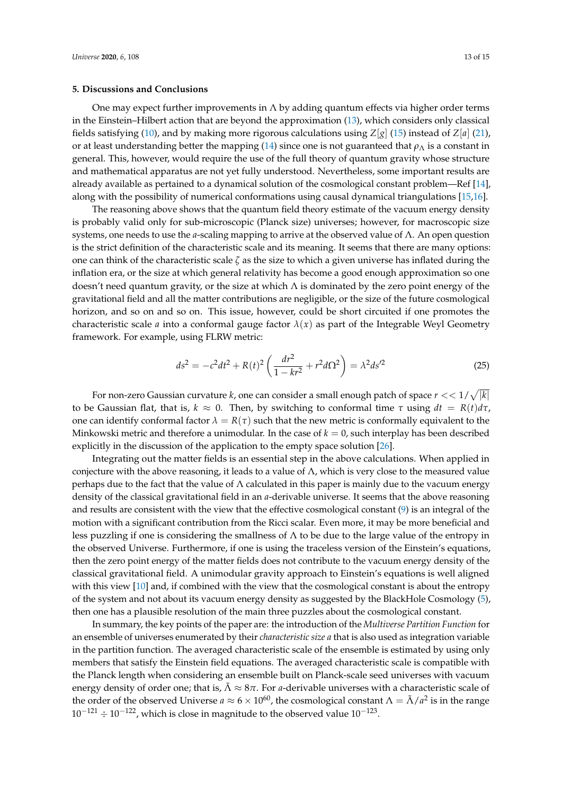#### **5. Discussions and Conclusions**

One may expect further improvements in  $\Lambda$  by adding quantum effects via higher order terms in the Einstein–Hilbert action that are beyond the approximation [\(13\)](#page-9-4), which considers only classical fields satisfying [\(10\)](#page-9-0), and by making more rigorous calculations using  $Z[g]$  [\(15\)](#page-9-2) instead of  $Z[a]$  [\(21\)](#page-11-0), or at least understanding better the mapping [\(14\)](#page-9-3) since one is not guaranteed that  $\rho_{\Lambda}$  is a constant in general. This, however, would require the use of the full theory of quantum gravity whose structure and mathematical apparatus are not yet fully understood. Nevertheless, some important results are already available as pertained to a dynamical solution of the cosmological constant problem—Ref [\[14\]](#page-14-6), along with the possibility of numerical conformations using causal dynamical triangulations [\[15](#page-14-7)[,16\]](#page-14-8).

The reasoning above shows that the quantum field theory estimate of the vacuum energy density is probably valid only for sub-microscopic (Planck size) universes; however, for macroscopic size systems, one needs to use the *a*-scaling mapping to arrive at the observed value of Λ. An open question is the strict definition of the characteristic scale and its meaning. It seems that there are many options: one can think of the characteristic scale *ζ* as the size to which a given universe has inflated during the inflation era, or the size at which general relativity has become a good enough approximation so one doesn't need quantum gravity, or the size at which  $\Lambda$  is dominated by the zero point energy of the gravitational field and all the matter contributions are negligible, or the size of the future cosmological horizon, and so on and so on. This issue, however, could be short circuited if one promotes the characteristic scale *a* into a conformal gauge factor  $\lambda(x)$  as part of the Integrable Weyl Geometry framework. For example, using FLRW metric:

$$
ds^{2} = -c^{2}dt^{2} + R(t)^{2} \left(\frac{dr^{2}}{1 - kr^{2}} + r^{2} d\Omega^{2}\right) = \lambda^{2} ds'^{2}
$$
 (25)

For non-zero Gaussian curvature  $k$ , one can consider a small enough patch of space  $r << 1/\sqrt{|k|}$ to be Gaussian flat, that is,  $k \approx 0$ . Then, by switching to conformal time  $\tau$  using  $dt = R(t)d\tau$ , one can identify conformal factor  $\lambda = R(\tau)$  such that the new metric is conformally equivalent to the Minkowski metric and therefore a unimodular. In the case of  $k = 0$ , such interplay has been described explicitly in the discussion of the application to the empty space solution [\[26\]](#page-14-17).

Integrating out the matter fields is an essential step in the above calculations. When applied in conjecture with the above reasoning, it leads to a value of Λ, which is very close to the measured value perhaps due to the fact that the value of  $\Lambda$  calculated in this paper is mainly due to the vacuum energy density of the classical gravitational field in an *a*-derivable universe. It seems that the above reasoning and results are consistent with the view that the effective cosmological constant [\(9\)](#page-8-0) is an integral of the motion with a significant contribution from the Ricci scalar. Even more, it may be more beneficial and less puzzling if one is considering the smallness of  $\Lambda$  to be due to the large value of the entropy in the observed Universe. Furthermore, if one is using the traceless version of the Einstein's equations, then the zero point energy of the matter fields does not contribute to the vacuum energy density of the classical gravitational field. A unimodular gravity approach to Einstein's equations is well aligned with this view [\[10\]](#page-14-2) and, if combined with the view that the cosmological constant is about the entropy of the system and not about its vacuum energy density as suggested by the BlackHole Cosmology [\(5\)](#page-5-0), then one has a plausible resolution of the main three puzzles about the cosmological constant.

In summary, the key points of the paper are: the introduction of the *Multiverse Partition Function* for an ensemble of universes enumerated by their *characteristic size a* that is also used as integration variable in the partition function. The averaged characteristic scale of the ensemble is estimated by using only members that satisfy the Einstein field equations. The averaged characteristic scale is compatible with the Planck length when considering an ensemble built on Planck-scale seed universes with vacuum energy density of order one; that is,  $\tilde{\Lambda} \approx 8\pi$ . For *a*-derivable universes with a characteristic scale of the order of the observed Universe  $a \approx 6 \times 10^{60}$ , the cosmological constant  $\Lambda = \tilde{\Lambda}/a^2$  is in the range  $10^{-121} \div 10^{-122}$ , which is close in magnitude to the observed value  $10^{-123}$ .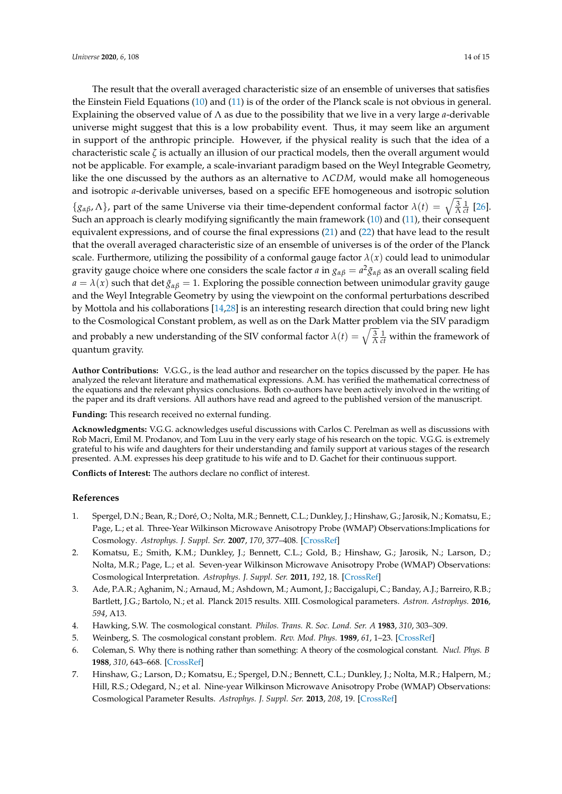The result that the overall averaged characteristic size of an ensemble of universes that satisfies the Einstein Field Equations [\(10\)](#page-9-0) and [\(11\)](#page-9-0) is of the order of the Planck scale is not obvious in general. Explaining the observed value of Λ as due to the possibility that we live in a very large *a*-derivable universe might suggest that this is a low probability event. Thus, it may seem like an argument in support of the anthropic principle. However, if the physical reality is such that the idea of a characteristic scale *ζ* is actually an illusion of our practical models, then the overall argument would not be applicable. For example, a scale-invariant paradigm based on the Weyl Integrable Geometry, like the one discussed by the authors as an alternative to Λ*CDM*, would make all homogeneous and isotropic *a*-derivable universes, based on a specific EFE homogeneous and isotropic solution  $\{g_{\alpha\beta}, \Lambda\}$ , part of the same Universe via their time-dependent conformal factor  $\lambda(t) = \sqrt{\frac{3}{\Lambda}} \frac{1}{ct}$  [\[26\]](#page-14-17). Such an approach is clearly modifying significantly the main framework [\(10\)](#page-9-0) and [\(11\)](#page-9-0), their consequent equivalent expressions, and of course the final expressions [\(21\)](#page-11-0) and [\(22\)](#page-11-0) that have lead to the result that the overall averaged characteristic size of an ensemble of universes is of the order of the Planck scale. Furthermore, utilizing the possibility of a conformal gauge factor  $\lambda(x)$  could lead to unimodular gravity gauge choice where one considers the scale factor *a* in  $g_{\alpha\beta} = a^2 \tilde{g}_{\alpha\beta}$  as an overall scaling field  $a = \lambda(x)$  such that det  $\tilde{g}_{\alpha\beta} = 1$ . Exploring the possible connection between unimodular gravity gauge and the Weyl Integrable Geometry by using the viewpoint on the conformal perturbations described by Mottola and his collaborations [\[14,](#page-14-6)[28\]](#page-14-19) is an interesting research direction that could bring new light to the Cosmological Constant problem, as well as on the Dark Matter problem via the SIV paradigm

and probably a new understanding of the SIV conformal factor  $\lambda(t) = \sqrt{\frac{3}{\Lambda}} \frac{1}{ct}$  within the framework of quantum gravity.

**Author Contributions:** V.G.G., is the lead author and researcher on the topics discussed by the paper. He has analyzed the relevant literature and mathematical expressions. A.M. has verified the mathematical correctness of the equations and the relevant physics conclusions. Both co-authors have been actively involved in the writing of the paper and its draft versions. All authors have read and agreed to the published version of the manuscript.

**Funding:** This research received no external funding.

**Acknowledgments:** V.G.G. acknowledges useful discussions with Carlos C. Perelman as well as discussions with Rob Macri, Emil M. Prodanov, and Tom Luu in the very early stage of his research on the topic. V.G.G. is extremely grateful to his wife and daughters for their understanding and family support at various stages of the research presented. A.M. expresses his deep gratitude to his wife and to D. Gachet for their continuous support.

**Conflicts of Interest:** The authors declare no conflict of interest.

#### **References**

- <span id="page-13-0"></span>1. Spergel, D.N.; Bean, R.; Doré, O.; Nolta, M.R.; Bennett, C.L.; Dunkley, J.; Hinshaw, G.; Jarosik, N.; Komatsu, E.; Page, L.; et al. Three-Year Wilkinson Microwave Anisotropy Probe (WMAP) Observations:Implications for Cosmology. *Astrophys. J. Suppl. Ser.* **2007**, *170*, 377–408. [\[CrossRef\]](http://dx.doi.org/10.1086/513700)
- <span id="page-13-5"></span>2. Komatsu, E.; Smith, K.M.; Dunkley, J.; Bennett, C.L.; Gold, B.; Hinshaw, G.; Jarosik, N.; Larson, D.; Nolta, M.R.; Page, L.; et al. Seven-year Wilkinson Microwave Anisotropy Probe (WMAP) Observations: Cosmological Interpretation. *Astrophys. J. Suppl. Ser.* **2011**, *192*, 18. [\[CrossRef\]](http://dx.doi.org/10.1088/0067-0049/192/2/18)
- <span id="page-13-1"></span>3. Ade, P.A.R.; Aghanim, N.; Arnaud, M.; Ashdown, M.; Aumont, J.; Baccigalupi, C.; Banday, A.J.; Barreiro, R.B.; Bartlett, J.G.; Bartolo, N.; et al. Planck 2015 results. XIII. Cosmological parameters. *Astron. Astrophys.* **2016**, *594*, A13.
- <span id="page-13-4"></span>4. Hawking, S.W. The cosmological constant. *Philos. Trans. R. Soc. Lond. Ser. A* **1983**, *310*, 303–309.
- <span id="page-13-3"></span><span id="page-13-2"></span>5. Weinberg, S. The cosmological constant problem. *Rev. Mod. Phys.* **1989**, *61*, 1–23. [\[CrossRef\]](http://dx.doi.org/10.1103/RevModPhys.61.1)
- 6. Coleman, S. Why there is nothing rather than something: A theory of the cosmological constant. *Nucl. Phys. B* **1988**, *310*, 643–668. [\[CrossRef\]](http://dx.doi.org/10.1016/0550-3213(88)90097-1)
- <span id="page-13-6"></span>7. Hinshaw, G.; Larson, D.; Komatsu, E.; Spergel, D.N.; Bennett, C.L.; Dunkley, J.; Nolta, M.R.; Halpern, M.; Hill, R.S.; Odegard, N.; et al. Nine-year Wilkinson Microwave Anisotropy Probe (WMAP) Observations: Cosmological Parameter Results. *Astrophys. J. Suppl. Ser.* **2013**, *208*, 19. [\[CrossRef\]](http://dx.doi.org/10.1088/0067-0049/208/2/19)